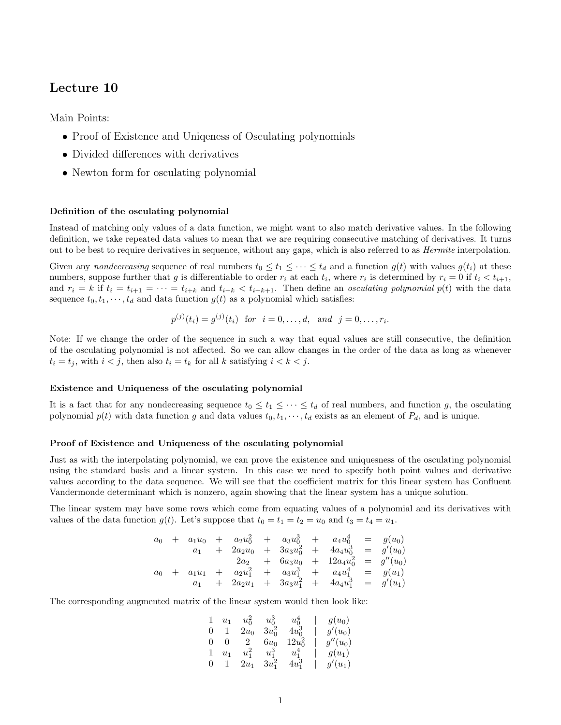# Lecture 10

Main Points:

- Proof of Existence and Uniqueness of Osculating polynomials
- Divided differences with derivatives
- Newton form for osculating polynomial

### Definition of the osculating polynomial

Instead of matching only values of a data function, we might want to also match derivative values. In the following definition, we take repeated data values to mean that we are requiring consecutive matching of derivatives. It turns out to be best to require derivatives in sequence, without any gaps, which is also referred to as Hermite interpolation.

Given any nondecreasing sequence of real numbers  $t_0 \le t_1 \le \cdots \le t_d$  and a function  $g(t)$  with values  $g(t_i)$  at these numbers, suppose further that g is differentiable to order  $r_i$  at each  $t_i$ , where  $r_i$  is determined by  $r_i = 0$  if  $t_i < t_{i+1}$ , and  $r_i = k$  if  $t_i = t_{i+1} = \cdots = t_{i+k}$  and  $t_{i+k} < t_{i+k+1}$ . Then define an *osculating polynomial p(t)* with the data sequence  $t_0, t_1, \dots, t_d$  and data function  $g(t)$  as a polynomial which satisfies:

$$
p^{(j)}(t_i) = g^{(j)}(t_i)
$$
 for  $i = 0, ..., d$ , and  $j = 0, ..., r_i$ .

Note: If we change the order of the sequence in such a way that equal values are still consecutive, the definition of the osculating polynomial is not affected. So we can allow changes in the order of the data as long as whenever  $t_i = t_j$ , with  $i < j$ , then also  $t_i = t_k$  for all k satisfying  $i < k < j$ .

### Existence and Uniqueness of the osculating polynomial

It is a fact that for any nondecreasing sequence  $t_0 \leq t_1 \leq \cdots \leq t_d$  of real numbers, and function g, the osculating polynomial  $p(t)$  with data function g and data values  $t_0, t_1, \dots, t_d$  exists as an element of  $P_d$ , and is unique.

### Proof of Existence and Uniqueness of the osculating polynomial

Just as with the interpolating polynomial, we can prove the existence and uniquesness of the osculating polynomial using the standard basis and a linear system. In this case we need to specify both point values and derivative values according to the data sequence. We will see that the coefficient matrix for this linear system has Confluent Vandermonde determinant which is nonzero, again showing that the linear system has a unique solution.

The linear system may have some rows which come from equating values of a polynomial and its derivatives with values of the data function  $g(t)$ . Let's suppose that  $t_0 = t_1 = t_2 = u_0$  and  $t_3 = t_4 = u_1$ .

$$
a_0 + a_1u_0 + a_2u_0^2 + a_3u_0^3 + a_4u_0^4 = g(u_0)
$$
  
\n
$$
a_1 + 2a_2u_0 + 3a_3u_0^2 + 4a_4u_0^3 = g'(u_0)
$$
  
\n
$$
2a_2 + 6a_3u_0 + 12a_4u_0^2 = g''(u_0)
$$
  
\n
$$
a_0 + a_1u_1 + a_2u_1^2 + a_3u_1^3 + a_4u_1^4 = g(u_1)
$$
  
\n
$$
a_1 + 2a_2u_1 + 3a_3u_1^2 + 4a_4u_1^3 = g'(u_1)
$$

The corresponding augmented matrix of the linear system would then look like:

$$
\begin{array}{ccccccc} 1& u_1& u_0^2& u_0^3& u_0^4&|&g(u_0)\\ 0& 1& 2u_0& 3u_0^2& 4u_0^3&|&g'(u_0)\\ 0& 0& 2& 6u_0& 12u_0^2&|&g''(u_0)\\ 1& u_1& u_1^2& u_1^3& u_1^4&|&g(u_1)\\ 0& 1& 2u_1& 3u_1^2& 4u_1^3&|&g'(u_1)\\ \end{array}
$$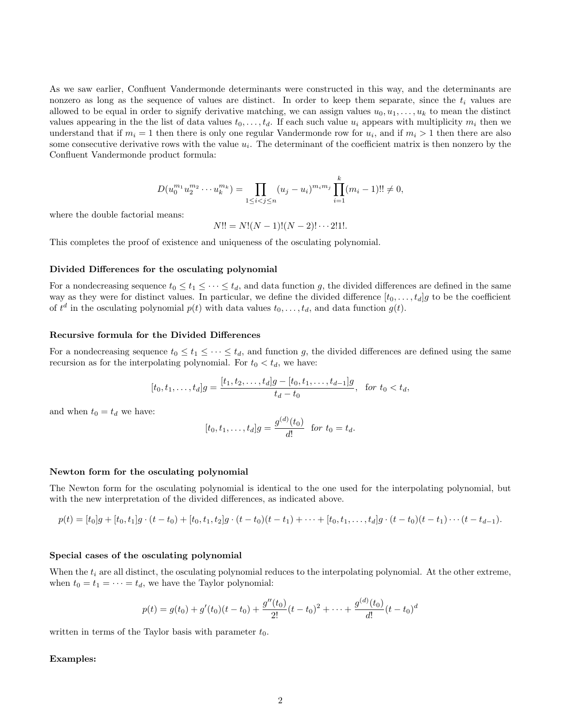As we saw earlier, Confluent Vandermonde determinants were constructed in this way, and the determinants are nonzero as long as the sequence of values are distinct. In order to keep them separate, since the  $t_i$  values are allowed to be equal in order to signify derivative matching, we can assign values  $u_0, u_1, \ldots, u_k$  to mean the distinct values appearing in the the list of data values  $t_0, \ldots, t_d$ . If each such value  $u_i$  appears with multiplicity  $m_i$  then we understand that if  $m_i = 1$  then there is only one regular Vandermonde row for  $u_i$ , and if  $m_i > 1$  then there are also some consecutive derivative rows with the value  $u_i$ . The determinant of the coefficient matrix is then nonzero by the Confluent Vandermonde product formula:

$$
D(u_0^{m_1}u_2^{m_2}\cdots u_k^{m_k}) = \prod_{1 \leq i < j \leq n} (u_j - u_i)^{m_i m_j} \prod_{i=1}^k (m_i - 1)!! \neq 0,
$$

where the double factorial means:

 $N!! = N!(N-1)!(N-2)!\cdots 2!1!.$ 

This completes the proof of existence and uniqueness of the osculating polynomial.

#### Divided Differences for the osculating polynomial

For a nondecreasing sequence  $t_0 \leq t_1 \leq \cdots \leq t_d$ , and data function g, the divided differences are defined in the same way as they were for distinct values. In particular, we define the divided difference  $[t_0, \ldots, t_d]g$  to be the coefficient of  $t^d$  in the osculating polynomial  $p(t)$  with data values  $t_0, \ldots, t_d$ , and data function  $g(t)$ .

#### Recursive formula for the Divided Differences

For a nondecreasing sequence  $t_0 \leq t_1 \leq \cdots \leq t_d$ , and function g, the divided differences are defined using the same recursion as for the interpolating polynomial. For  $t_0 < t_d$ , we have:

$$
[t_0, t_1, \dots, t_d]g = \frac{[t_1, t_2, \dots, t_d]g - [t_0, t_1, \dots, t_{d-1}]g}{t_d - t_0}, \text{ for } t_0 < t_d,
$$

and when  $t_0 = t_d$  we have:

$$
[t_0, t_1, \dots, t_d]g = \frac{g^{(d)}(t_0)}{d!} \text{ for } t_0 = t_d.
$$

#### Newton form for the osculating polynomial

The Newton form for the osculating polynomial is identical to the one used for the interpolating polynomial, but with the new interpretation of the divided differences, as indicated above.

$$
p(t) = [t_0]g + [t_0, t_1]g \cdot (t - t_0) + [t_0, t_1, t_2]g \cdot (t - t_0)(t - t_1) + \cdots + [t_0, t_1, \ldots, t_d]g \cdot (t - t_0)(t - t_1) \cdots (t - t_{d-1}).
$$

#### Special cases of the osculating polynomial

When the  $t_i$  are all distinct, the osculating polynomial reduces to the interpolating polynomial. At the other extreme, when  $t_0 = t_1 = \cdots = t_d$ , we have the Taylor polynomial:

$$
p(t) = g(t_0) + g'(t_0)(t - t_0) + \frac{g''(t_0)}{2!}(t - t_0)^2 + \dots + \frac{g^{(d)}(t_0)}{d!}(t - t_0)^d
$$

written in terms of the Taylor basis with parameter  $t_0$ .

#### Examples: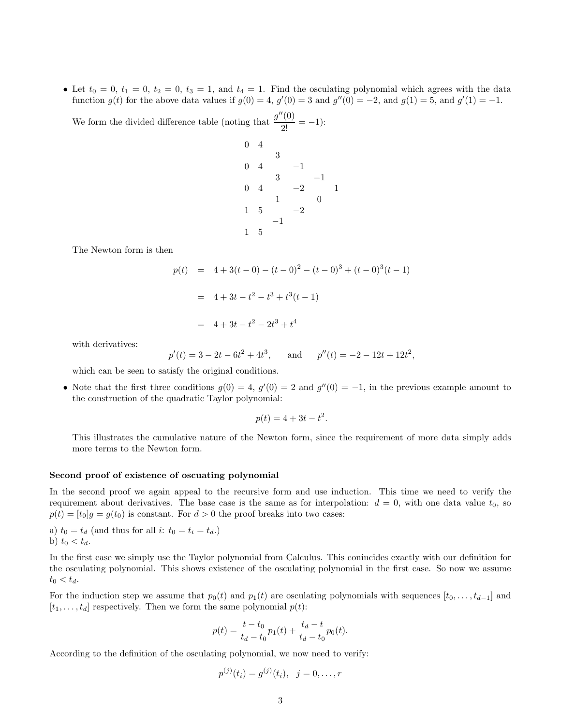• Let  $t_0 = 0$ ,  $t_1 = 0$ ,  $t_2 = 0$ ,  $t_3 = 1$ , and  $t_4 = 1$ . Find the osculating polynomial which agrees with the data function  $g(t)$  for the above data values if  $g(0) = 4$ ,  $g'(0) = 3$  and  $g''(0) = -2$ , and  $g(1) = 5$ , and  $g'(1) = -1$ .

We form the divided difference table (noting that  $\frac{g''(0)}{2!} = -1$ ):

0 4 3  $0 \quad 4 \qquad \qquad -1$ 3 −1 0 4  $-2$  1 1 0  $1 \quad 5 \quad -2$ −1 1 5

The Newton form is then

$$
p(t) = 4 + 3(t - 0) - (t - 0)^2 - (t - 0)^3 + (t - 0)^3(t - 1)
$$
  
= 4 + 3t - t<sup>2</sup> - t<sup>3</sup> + t<sup>3</sup>(t - 1)  
= 4 + 3t - t<sup>2</sup> - 2t<sup>3</sup> + t<sup>4</sup>

with derivatives:

 $p'(t) = 3 - 2t - 6t^2 + 4t^3$ , and  $p''(t) = -2 - 12t + 12t^2$ ,

which can be seen to satisfy the original conditions.

• Note that the first three conditions  $g(0) = 4$ ,  $g'(0) = 2$  and  $g''(0) = -1$ , in the previous example amount to the construction of the quadratic Taylor polynomial:

$$
p(t) = 4 + 3t - t^2.
$$

This illustrates the cumulative nature of the Newton form, since the requirement of more data simply adds more terms to the Newton form.

#### Second proof of existence of oscuating polynomial

In the second proof we again appeal to the recursive form and use induction. This time we need to verify the requirement about derivatives. The base case is the same as for interpolation:  $d = 0$ , with one data value  $t_0$ , so  $p(t) = [t_0]g = g(t_0)$  is constant. For  $d > 0$  the proof breaks into two cases:

a)  $t_0 = t_d$  (and thus for all *i*:  $t_0 = t_i = t_d$ .) b)  $t_0 < t_d$ .

In the first case we simply use the Taylor polynomial from Calculus. This conincides exactly with our definition for the osculating polynomial. This shows existence of the osculating polynomial in the first case. So now we assume  $t_0 < t_d$ .

For the induction step we assume that  $p_0(t)$  and  $p_1(t)$  are osculating polynomials with sequences  $[t_0, \ldots, t_{d-1}]$  and  $[t_1, \ldots, t_d]$  respectively. Then we form the same polynomial  $p(t)$ :

$$
p(t) = \frac{t - t_0}{t_d - t_0} p_1(t) + \frac{t_d - t}{t_d - t_0} p_0(t).
$$

According to the definition of the osculating polynomial, we now need to verify:

$$
p^{(j)}(t_i) = g^{(j)}(t_i), \ \ j = 0, \ldots, r
$$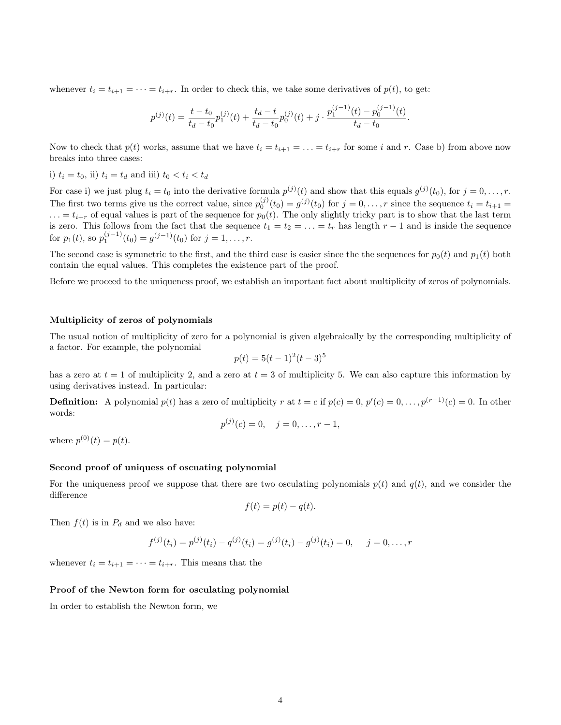whenever  $t_i = t_{i+1} = \cdots = t_{i+r}$ . In order to check this, we take some derivatives of  $p(t)$ , to get:

$$
p^{(j)}(t) = \frac{t - t_0}{t_d - t_0} p_1^{(j)}(t) + \frac{t_d - t}{t_d - t_0} p_0^{(j)}(t) + j \cdot \frac{p_1^{(j-1)}(t) - p_0^{(j-1)}(t)}{t_d - t_0}.
$$

Now to check that  $p(t)$  works, assume that we have  $t_i = t_{i+1} = \ldots = t_{i+r}$  for some i and r. Case b) from above now breaks into three cases:

i)  $t_i = t_0$ , ii)  $t_i = t_d$  and iii)  $t_0 < t_i < t_d$ 

For case i) we just plug  $t_i = t_0$  into the derivative formula  $p^{(j)}(t)$  and show that this equals  $g^{(j)}(t_0)$ , for  $j = 0, \ldots, r$ . The first two terms give us the correct value, since  $p_0^{(j)}(t_0) = g^{(j)}(t_0)$  for  $j = 0, \ldots, r$  since the sequence  $t_i = t_{i+1}$  $\ldots = t_{i+r}$  of equal values is part of the sequence for  $p_0(t)$ . The only slightly tricky part is to show that the last term is zero. This follows from the fact that the sequence  $t_1 = t_2 = \ldots = t_r$  has length  $r - 1$  and is inside the sequence for  $p_1(t)$ , so  $p_1^{(j-1)}(t_0) = g^{(j-1)}(t_0)$  for  $j = 1, ..., r$ .

The second case is symmetric to the first, and the third case is easier since the the sequences for  $p_0(t)$  and  $p_1(t)$  both contain the equal values. This completes the existence part of the proof.

Before we proceed to the uniqueness proof, we establish an important fact about multiplicity of zeros of polynomials.

### Multiplicity of zeros of polynomials

The usual notion of multiplicity of zero for a polynomial is given algebraically by the corresponding multiplicity of a factor. For example, the polynomial

$$
p(t) = 5(t-1)^2(t-3)^5
$$

has a zero at  $t = 1$  of multiplicity 2, and a zero at  $t = 3$  of multiplicity 5. We can also capture this information by using derivatives instead. In particular:

**Definition:** A polynomial  $p(t)$  has a zero of multiplicity r at  $t = c$  if  $p(c) = 0, p'(c) = 0, \ldots, p^{(r-1)}(c) = 0$ . In other words:

$$
p^{(j)}(c) = 0, \quad j = 0, \ldots, r-1,
$$

where  $p^{(0)}(t) = p(t)$ .

## Second proof of uniquess of oscuating polynomial

For the uniqueness proof we suppose that there are two osculating polynomials  $p(t)$  and  $q(t)$ , and we consider the difference

$$
f(t) = p(t) - q(t).
$$

Then  $f(t)$  is in  $P_d$  and we also have:

$$
f^{(j)}(t_i) = p^{(j)}(t_i) - q^{(j)}(t_i) = g^{(j)}(t_i) - g^{(j)}(t_i) = 0, \quad j = 0, \dots, r
$$

whenever  $t_i = t_{i+1} = \cdots = t_{i+r}$ . This means that the

### Proof of the Newton form for osculating polynomial

In order to establish the Newton form, we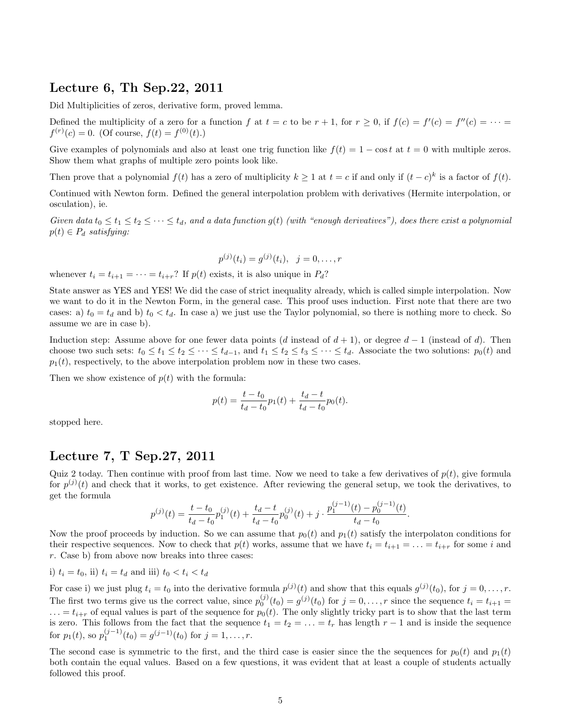## Lecture 6, Th Sep.22, 2011

Did Multiplicities of zeros, derivative form, proved lemma.

Defined the multiplicity of a zero for a function f at  $t = c$  to be  $r + 1$ , for  $r \ge 0$ , if  $f(c) = f'(c) = f''(c) = \cdots$  $f^{(r)}(c) = 0.$  (Of course,  $f(t) = f^{(0)}(t)$ .)

Give examples of polynomials and also at least one trig function like  $f(t) = 1 - \cos t$  at  $t = 0$  with multiple zeros. Show them what graphs of multiple zero points look like.

Then prove that a polynomial  $f(t)$  has a zero of multiplicity  $k \geq 1$  at  $t = c$  if and only if  $(t - c)^k$  is a factor of  $f(t)$ .

Continued with Newton form. Defined the general interpolation problem with derivatives (Hermite interpolation, or osculation), ie.

Given data  $t_0 \le t_1 \le t_2 \le \cdots \le t_d$ , and a data function  $g(t)$  (with "enough derivatives"), does there exist a polynomial  $p(t) \in P_d$  satisfying:

$$
p^{(j)}(t_i) = g^{(j)}(t_i), \quad j = 0, \dots, r
$$

whenever  $t_i = t_{i+1} = \cdots = t_{i+r}$ ? If  $p(t)$  exists, it is also unique in  $P_d$ ?

State answer as YES and YES! We did the case of strict inequality already, which is called simple interpolation. Now we want to do it in the Newton Form, in the general case. This proof uses induction. First note that there are two cases: a)  $t_0 = t_d$  and b)  $t_0 < t_d$ . In case a) we just use the Taylor polynomial, so there is nothing more to check. So assume we are in case b).

Induction step: Assume above for one fewer data points (d instead of  $d + 1$ ), or degree  $d - 1$  (instead of d). Then choose two such sets:  $t_0 \le t_1 \le t_2 \le \cdots \le t_{d-1}$ , and  $t_1 \le t_2 \le t_3 \le \cdots \le t_d$ . Associate the two solutions:  $p_0(t)$  and  $p_1(t)$ , respectively, to the above interpolation problem now in these two cases.

Then we show existence of  $p(t)$  with the formula:

$$
p(t) = \frac{t - t_0}{t_d - t_0} p_1(t) + \frac{t_d - t}{t_d - t_0} p_0(t).
$$

stopped here.

## Lecture 7, T Sep.27, 2011

Quiz 2 today. Then continue with proof from last time. Now we need to take a few derivatives of  $p(t)$ , give formula for  $p^{(j)}(t)$  and check that it works, to get existence. After reviewing the general setup, we took the derivatives, to get the formula

$$
p^{(j)}(t) = \frac{t - t_0}{t_d - t_0} p_1^{(j)}(t) + \frac{t_d - t}{t_d - t_0} p_0^{(j)}(t) + j \cdot \frac{p_1^{(j-1)}(t) - p_0^{(j-1)}(t)}{t_d - t_0}.
$$

Now the proof proceeds by induction. So we can assume that  $p_0(t)$  and  $p_1(t)$  satisfy the interpolaton conditions for their respective sequences. Now to check that  $p(t)$  works, assume that we have  $t_i = t_{i+1} = \ldots = t_{i+r}$  for some i and r. Case b) from above now breaks into three cases:

i)  $t_i = t_0$ , ii)  $t_i = t_d$  and iii)  $t_0 < t_i < t_d$ 

For case i) we just plug  $t_i = t_0$  into the derivative formula  $p^{(j)}(t)$  and show that this equals  $g^{(j)}(t_0)$ , for  $j = 0, \ldots, r$ . The first two terms give us the correct value, since  $p_0^{(j)}(t_0) = g^{(j)}(t_0)$  for  $j = 0, \ldots, r$  since the sequence  $t_i = t_{i+1}$  $\ldots = t_{i+r}$  of equal values is part of the sequence for  $p_0(t)$ . The only slightly tricky part is to show that the last term is zero. This follows from the fact that the sequence  $t_1 = t_2 = \ldots = t_r$  has length  $r - 1$  and is inside the sequence for  $p_1(t)$ , so  $p_1^{(j-1)}(t_0) = g^{(j-1)}(t_0)$  for  $j = 1, ..., r$ .

The second case is symmetric to the first, and the third case is easier since the the sequences for  $p_0(t)$  and  $p_1(t)$ both contain the equal values. Based on a few questions, it was evident that at least a couple of students actually followed this proof.